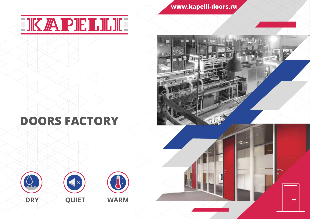# **IK ZA IP IE IL IL III**

**www.kapelli-doors.ru**

officer-

## **DOORS FACTORY**





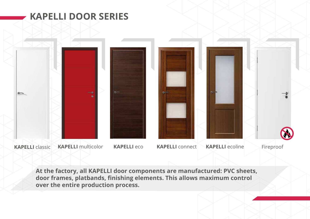

**At the factory, all KAPELLI door components are manufactured: PVC sheets, door frames, platbands, finishing elements. This allows maximum control over the entire production process.**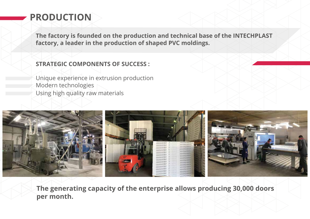## **PRODUCTION**

**The factory is founded on the production and technical base of the INTECHPLAST factory, a leader in the production of shaped PVC moldings.**

#### **STRATEGIC COMPONENTS OF SUCCESS :**

Unique experience in extrusion production Modern technologies Using high quality raw materials



**The generating capacity of the enterprise allows producing 30,000 doors per month.**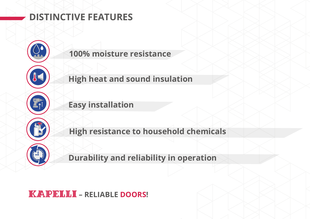### **DISTINCTIVE FEATURES**



**100% moisture resistance**

**High heat and sound insulation**

**Easy installation**

**High resistance to household chemicals**

**Durability and reliability in operation**

#### **IK AIPIEILILII - RELIABLE DOORS!**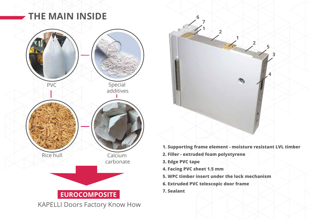## **THE MAIN INSIDE**





- **1. Supporting frame element moisture resistant LVL timber**
- **2. Filler extruded foam polystyrene**
- **3. Edge PVC tape**
- **4. Facing PVC sheet 1.5 mm**
- **5. WPC timber insert under the lock mechanism**
- **6. Extruded PVC telescopic door frame**
- **7. Sealant**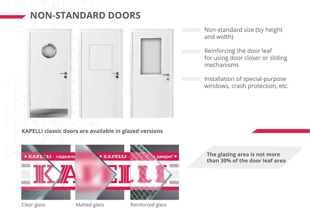#### **NON-STANDARD DOORS**



Non-standard size (by height and width)

Reinforcing the door leaf for using door closer or sliding mechanisms

Installation of special-purpose windows, crash protection, etc.

#### **KAPELLI classic doors are available in glazed versions**



#### **The glazing area is not more than 30% of the door leaf area**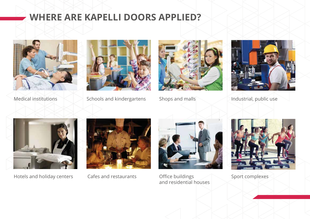#### **WHERE ARE KAPELLI DOORS APPLIED?**





Medical institutions Schools and kindergartens Shops and malls Should industrial, public use







Hotels and holiday centers Cafes and restaurants Office buildings





and residential houses



Sport complexes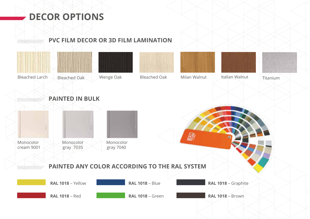### **DECOR OPTIONS**

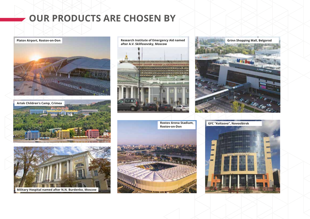#### **OUR PRODUCTS ARE CHOSEN BY**







**Military Hospital named after N.N. Burdenko, Moscow**